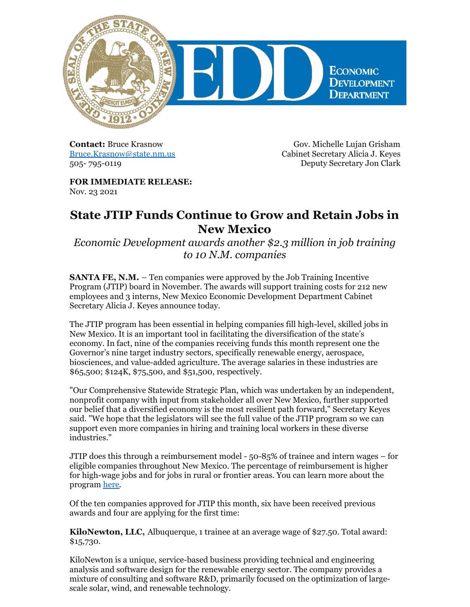

**Contact:** Bruce Krasnow [Bruce.Krasnow@state.nm.us](mailto:Bruce.Krasnow@state.nm.us) 505- 795-0119

Gov. Michelle Lujan Grisham Cabinet Secretary Alicia J. Keyes Deputy Secretary Jon Clark

**FOR IMMEDIATE RELEASE:** Nov. 23 2021

## **State JTIP Funds Continue to Grow and Retain Jobs in New Mexico**

*Economic Development awards another \$2.3 million in job training to 10 N.M. companies*

**SANTA FE, N.M.** – Ten companies were approved by the Job Training Incentive Program (JTIP) board in November. The awards will support training costs for 212 new employees and 3 interns, New Mexico Economic Development Department Cabinet Secretary Alicia J. Keyes announce today.

The JTIP program has been essential in helping companies fill high-level, skilled jobs in New Mexico. It is an important tool in facilitating the diversification of the state's economy. In fact, nine of the companies receiving funds this month represent one the Governor's nine target industry sectors, specifically renewable energy, aerospace, biosciences, and value-added agriculture. The average salaries in these industries are \$65,500; \$124K, \$75,500, and \$51,500, respectively.

"Our Comprehensive Statewide Strategic Plan, which was undertaken by an independent, nonprofit company with input from stakeholder all over New Mexico, further supported our belief that a diversified economy is the most resilient path forward," Secretary Keyes said. "We hope that the legislators will see the full value of the JTIP program so we can support even more companies in hiring and training local workers in these diverse industries."

JTIP does this through a reimbursement model - 50-85% of trainee and intern wages – for eligible companies throughout New Mexico. The percentage of reimbursement is higher for high-wage jobs and for jobs in rural or frontier areas. You can learn more about the program [here](https://edd.newmexico.gov/business-development/edd-programs-for-business/job-training-incentive-program/).

Of the ten companies approved for JTIP this month, six have been received previous awards and four are applying for the first time:

**KiloNewton, LLC,** Albuquerque, 1 trainee at an average wage of \$27.50. Total award: \$15,730.

KiloNewton is a unique, service-based business providing technical and engineering analysis and software design for the renewable energy sector. The company provides a mixture of consulting and software R&D, primarily focused on the optimization of largescale solar, wind, and renewable technology.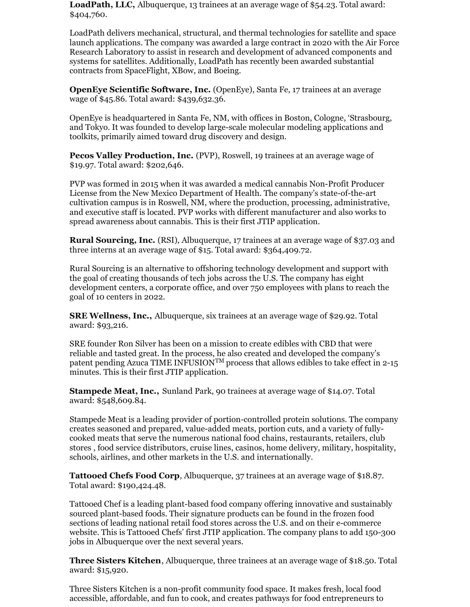**LoadPath, LLC,** Albuquerque, 13 trainees at an average wage of \$54.23. Total award: \$404,760.

LoadPath delivers mechanical, structural, and thermal technologies for satellite and space launch applications. The company was awarded a large contract in 2020 with the Air Force Research Laboratory to assist in research and development of advanced components and systems for satellites. Additionally, LoadPath has recently been awarded substantial contracts from SpaceFlight, XBow, and Boeing.

**OpenEye Scientific Software, Inc.** (OpenEye), Santa Fe, 17 trainees at an average wage of \$45.86. Total award: \$439,632.36.

OpenEye is headquartered in Santa Fe, NM, with offices in Boston, Cologne, 'Strasbourg, and Tokyo. It was founded to develop large-scale molecular modeling applications and toolkits, primarily aimed toward drug discovery and design.

**Pecos Valley Production, Inc.** (PVP), Roswell, 19 trainees at an average wage of \$19.97. Total award: \$202,646.

PVP was formed in 2015 when it was awarded a medical cannabis Non-Profit Producer License from the New Mexico Department of Health. The company's state-of-the-art cultivation campus is in Roswell, NM, where the production, processing, administrative, and executive staff is located. PVP works with different manufacturer and also works to spread awareness about cannabis. This is their first JTIP application.

**Rural Sourcing, Inc.** (RSI), Albuquerque, 17 trainees at an average wage of \$37.03 and three interns at an average wage of \$15. Total award: \$364,409.72.

Rural Sourcing is an alternative to offshoring technology development and support with the goal of creating thousands of tech jobs across the U.S. The company has eight development centers, a corporate office, and over 750 employees with plans to reach the goal of 10 centers in 2022.

**SRE Wellness, Inc.,** Albuquerque, six trainees at an average wage of \$29.92. Total award: \$93,216.

SRE founder Ron Silver has been on a mission to create edibles with CBD that were reliable and tasted great. In the process, he also created and developed the company's patent pending Azuca TIME INFUSION<sup>TM</sup> process that allows edibles to take effect in 2-15 minutes. This is their first JTIP application.

**Stampede Meat, Inc.,** Sunland Park, 90 trainees at average wage of \$14.07. Total award: \$548,609.84.

Stampede Meat is a leading provider of portion-controlled protein solutions. The company creates seasoned and prepared, value-added meats, portion cuts, and a variety of fullycooked meats that serve the numerous national food chains, restaurants, retailers, club stores , food service distributors, cruise lines, casinos, home delivery, military, hospitality, schools, airlines, and other markets in the U.S. and internationally.

**Tattooed Chefs Food Corp**, Albuquerque, 37 trainees at an average wage of \$18.87. Total award: \$190,424.48.

Tattooed Chef is a leading plant-based food company offering innovative and sustainably sourced plant-based foods. Their signature products can be found in the frozen food sections of leading national retail food stores across the U.S. and on their e-commerce website. This is Tattooed Chefs' first JTIP application. The company plans to add 150-300 jobs in Albuquerque over the next several years.

**Three Sisters Kitchen**, Albuquerque, three trainees at an average wage of \$18.50. Total award: \$15,920.

Three Sisters Kitchen is a non-profit community food space. It makes fresh, local food accessible, affordable, and fun to cook, and creates pathways for food entrepreneurs to